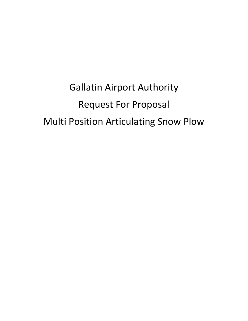Gallatin Airport Authority Request For Proposal Multi Position Articulating Snow Plow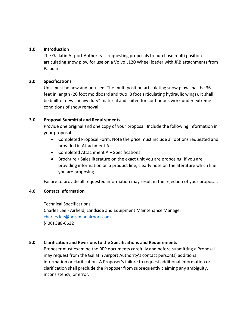#### **1.0 Introduction**

The Gallatin Airport Authority is requesting proposals to purchase multi position articulating snow plow for use on a Volvo L120 Wheel loader with JRB attachments from Paladin.

## **2.0 Specifications**

Unit must be new and un-used. The multi position articulating snow plow shall be 36 feet in length (20 foot moldboard and two, 8 foot articulating hydraulic wings). It shall be built of new "heavy duty" material and suited for continuous work under extreme conditions of snow removal.

## **3.0 Proposal Submittal and Requirements**

Provide one original and one copy of your proposal. Include the following information in your proposal-

- Completed Proposal Form. Note the price must include all options requested and provided in Attachment A
- Completed Attachment A Specifications
- Brochure / Sales literature on the exact unit you are proposing. If you are providing information on a product line, clearly note on the literature which line you are proposing.

Failure to provide all requested information may result in the rejection of your proposal.

# **4.0 Contact Information**

Technical Specifications Charles Lee - Airfield, Landside and Equipment Maintenance Manager [charles.lee@bozemanairport.com](mailto:charles.lee@bozemanairport.com) (406) 388-6632

# **5.0 Clarification and Revisions to the Specifications and Requirements**

Proposer must examine the RFP documents carefully and before submitting a Proposal may request from the Gallatin Airport Authority's contact person(s) additional information or clarification. A Proposer's failure to request additional information or clarification shall preclude the Proposer from subsequently claiming any ambiguity, inconsistency, or error.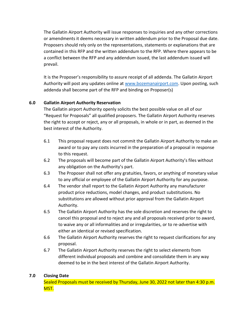The Gallatin Airport Authority will issue responses to inquiries and any other corrections or amendments it deems necessary in written addendum prior to the Proposal due date. Proposers should rely only on the representations, statements or explanations that are contained in this RFP and the written addendum to the RFP. Where there appears to be a conflict between the RFP and any addendum issued, the last addendum issued will prevail.

It is the Proposer's responsibility to assure receipt of all addenda. The Gallatin Airport Authority will post any updates online at [www.bozemanairport.com.](http://www.bozemanairport.com/) Upon posting, such addenda shall become part of the RFP and binding on Proposer(s)

# **6.0 Gallatin Airport Authority Reservation**

The Gallatin airport Authority openly solicits the best possible value on all of our "Request for Proposals" all qualified proposers. The Gallatin Airport Authority reserves the right to accept or reject, any or all proposals, in whole or in part, as deemed in the best interest of the Authority.

- 6.1 This proposal request does not commit the Gallatin Airport Authority to make an award or to pay any costs incurred in the preparation of a proposal in response to this request.
- 6.2 The proposals will become part of the Gallatin Airport Authority's files without any obligation on the Authority's part.
- 6.3 The Proposer shall not offer any gratuities, favors, or anything of monetary value to any official or employee of the Gallatin Airport Authority for any purpose.
- 6.4 The vendor shall report to the Gallatin Airport Authority any manufacturer product price reductions, model changes, and product substitutions. No substitutions are allowed without prior approval from the Gallatin Airport Authority.
- 6.5 The Gallatin Airport Authority has the sole discretion and reserves the right to cancel this proposal and to reject any and all proposals received prior to award, to waive any or all informalities and or irregularities, or to re-advertise with either an identical or revised specification.
- 6.6 The Gallatin Airport Authority reserves the right to request clarifications for any proposal.
- 6.7 The Gallatin Airport Authority reserves the right to select elements from different individual proposals and combine and consolidate them in any way deemed to be in the best interest of the Gallatin Airport Authority.

# **7.0 Closing Date**

Sealed Proposals must be received by Thursday, June 30, 2022 not later than 4:30 p.m. MST.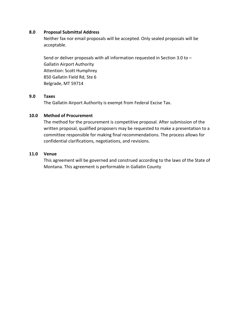### **8.0 Proposal Submittal Address**

Neither fax nor email proposals will be accepted. Only sealed proposals will be acceptable.

Send or deliver proposals with all information requested in Section 3.0 to – Gallatin Airport Authority Attention: Scott Humphrey 850 Gallatin Field Rd, Ste 6 Belgrade, MT 59714

#### **9.0 Taxes**

The Gallatin Airport Authority is exempt from Federal Excise Tax.

## **10.0 Method of Procurement**

The method for the procurement is competitive proposal. After submission of the written proposal, qualified proposers may be requested to make a presentation to a committee responsible for making final recommendations. The process allows for confidential clarifications, negotiations, and revisions.

## **11.0 Venue**

This agreement will be governed and construed according to the laws of the State of Montana. This agreement is performable in Gallatin County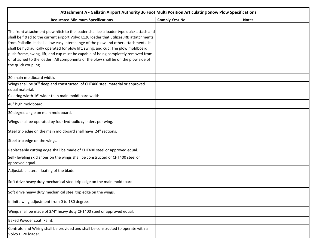| Attachment A - Gallatin Airport Authority 36 Foot Multi Position Articulating Snow Plow Specifications                                                                                                                                                                                                                                                                                                                                                                                                                                                          |               |              |  |
|-----------------------------------------------------------------------------------------------------------------------------------------------------------------------------------------------------------------------------------------------------------------------------------------------------------------------------------------------------------------------------------------------------------------------------------------------------------------------------------------------------------------------------------------------------------------|---------------|--------------|--|
| <b>Requested Minimum Specifications</b>                                                                                                                                                                                                                                                                                                                                                                                                                                                                                                                         | Comply Yes/No | <b>Notes</b> |  |
| The front attachment plow hitch to the loader shall be a loader type quick attach and<br>shall be fitted to the current airport Volvo L120 loader that utilizes JRB attatchments<br>from Palladin. It shall allow easy interchange of the plow and other attachments. It<br>shall be hydraulically operated for plow lift, swing, and cup. The plow moldboard,<br>push frame, swing, lift, and cup must be capable of being completely removed from<br>or attached to the loader. All components of the plow shall be on the plow side of<br>the quick coupling |               |              |  |
| 20' main moldboard width.                                                                                                                                                                                                                                                                                                                                                                                                                                                                                                                                       |               |              |  |
| Wings shall be 96" deep and constructed of CHT400 steel material or approved<br>equal material.                                                                                                                                                                                                                                                                                                                                                                                                                                                                 |               |              |  |
| Clearing width 16' wider than main moldboard width                                                                                                                                                                                                                                                                                                                                                                                                                                                                                                              |               |              |  |
| 48" high moldboard.                                                                                                                                                                                                                                                                                                                                                                                                                                                                                                                                             |               |              |  |
| 30 degree angle on main moldboard.                                                                                                                                                                                                                                                                                                                                                                                                                                                                                                                              |               |              |  |
| Wings shall be operated by four hydraulic cylinders per wing.                                                                                                                                                                                                                                                                                                                                                                                                                                                                                                   |               |              |  |
| Steel trip edge on the main moldboard shall have 24" sections.                                                                                                                                                                                                                                                                                                                                                                                                                                                                                                  |               |              |  |
| Steel trip edge on the wings.                                                                                                                                                                                                                                                                                                                                                                                                                                                                                                                                   |               |              |  |
| Replaceable cutting edge shall be made of CHT400 steel or approved equal.                                                                                                                                                                                                                                                                                                                                                                                                                                                                                       |               |              |  |
| Self- leveling skid shoes on the wings shall be constructed of CHT400 steel or<br>approved equal.                                                                                                                                                                                                                                                                                                                                                                                                                                                               |               |              |  |
| Adjustable lateral floating of the blade.                                                                                                                                                                                                                                                                                                                                                                                                                                                                                                                       |               |              |  |
| Soft drive heavy duty mechanical steel trip edge on the main moldboard.                                                                                                                                                                                                                                                                                                                                                                                                                                                                                         |               |              |  |
| Soft drive heavy duty mechanical steel trip edge on the wings.                                                                                                                                                                                                                                                                                                                                                                                                                                                                                                  |               |              |  |
| Infinite wing adjustment from 0 to 180 degrees.                                                                                                                                                                                                                                                                                                                                                                                                                                                                                                                 |               |              |  |
| Wings shall be made of 3/4" heavy duty CHT400 steel or approved equal.                                                                                                                                                                                                                                                                                                                                                                                                                                                                                          |               |              |  |
| Baked Powder coat Paint.                                                                                                                                                                                                                                                                                                                                                                                                                                                                                                                                        |               |              |  |
| Controls and Wiring shall be provided and shall be constructed to operate with a<br>Volvo L120 loader.                                                                                                                                                                                                                                                                                                                                                                                                                                                          |               |              |  |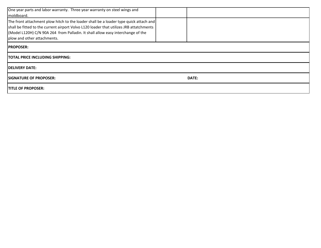| One year parts and labor warranty. Three year warranty on steel wings and<br>moldboard.                                                                                                                                                                                                            |  |              |  |  |
|----------------------------------------------------------------------------------------------------------------------------------------------------------------------------------------------------------------------------------------------------------------------------------------------------|--|--------------|--|--|
| The front attachment plow hitch to the loader shall be a loader type quick attach and<br>shall be fitted to the current airport Volvo L120 loader that utilizes JRB attatchments<br>(Model L120H) C/N 90A 264 from Palladin. It shall allow easy interchange of the<br>plow and other attachments. |  |              |  |  |
| <b>IPROPOSER:</b>                                                                                                                                                                                                                                                                                  |  |              |  |  |
| <b>TOTAL PRICE INCLUDING SHIPPING:</b>                                                                                                                                                                                                                                                             |  |              |  |  |
| <b>IDELIVERY DATE:</b>                                                                                                                                                                                                                                                                             |  |              |  |  |
| <b>ISIGNATURE OF PROPOSER:</b>                                                                                                                                                                                                                                                                     |  | <b>DATE:</b> |  |  |
| <b>ITITLE OF PROPOSER:</b>                                                                                                                                                                                                                                                                         |  |              |  |  |